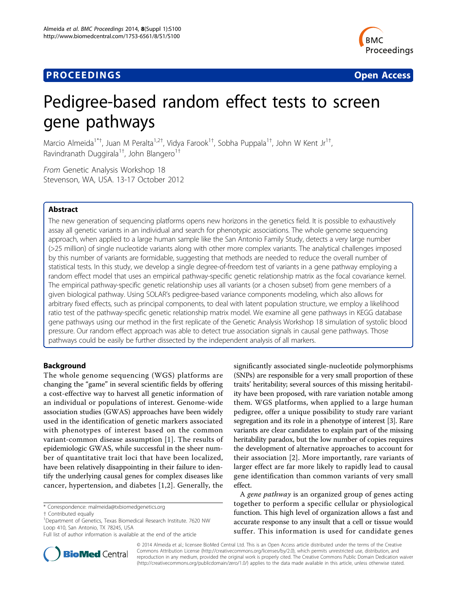# **PROCEEDINGS CONSIDERING S** Open Access **CONSIDERING S**



# Pedigree-based random effect tests to screen gene pathways

Marcio Almeida<sup>1\*†</sup>, Juan M Peralta<sup>1,2†</sup>, Vidya Farook<sup>1†</sup>, Sobha Puppala<sup>1†</sup>, John W Kent Jr<sup>1†</sup> , Ravindranath Duggirala<sup>1†</sup>, John Blangero<sup>1†</sup>

From Genetic Analysis Workshop 18 Stevenson, WA, USA. 13-17 October 2012

# Abstract

The new generation of sequencing platforms opens new horizons in the genetics field. It is possible to exhaustively assay all genetic variants in an individual and search for phenotypic associations. The whole genome sequencing approach, when applied to a large human sample like the San Antonio Family Study, detects a very large number (>25 million) of single nucleotide variants along with other more complex variants. The analytical challenges imposed by this number of variants are formidable, suggesting that methods are needed to reduce the overall number of statistical tests. In this study, we develop a single degree-of-freedom test of variants in a gene pathway employing a random effect model that uses an empirical pathway-specific genetic relationship matrix as the focal covariance kernel. The empirical pathway-specific genetic relationship uses all variants (or a chosen subset) from gene members of a given biological pathway. Using SOLAR's pedigree-based variance components modeling, which also allows for arbitrary fixed effects, such as principal components, to deal with latent population structure, we employ a likelihood ratio test of the pathway-specific genetic relationship matrix model. We examine all gene pathways in KEGG database gene pathways using our method in the first replicate of the Genetic Analysis Workshop 18 simulation of systolic blood pressure. Our random effect approach was able to detect true association signals in causal gene pathways. Those pathways could be easily be further dissected by the independent analysis of all markers.

# Background

The whole genome sequencing (WGS) platforms are changing the "game" in several scientific fields by offering a cost-effective way to harvest all genetic information of an individual or populations of interest. Genome-wide association studies (GWAS) approaches have been widely used in the identification of genetic markers associated with phenotypes of interest based on the common variant-common disease assumption [[1](#page-4-0)]. The results of epidemiologic GWAS, while successful in the sheer number of quantitative trait loci that have been localized, have been relatively disappointing in their failure to identify the underlying causal genes for complex diseases like cancer, hypertension, and diabetes [[1,2](#page-4-0)]. Generally, the

\* Correspondence: [malmeida@txbiomedgenetics.org](mailto:malmeida@txbiomedgenetics.org)

significantly associated single-nucleotide polymorphisms (SNPs) are responsible for a very small proportion of these traits' heritability; several sources of this missing heritability have been proposed, with rare variation notable among them. WGS platforms, when applied to a large human pedigree, offer a unique possibility to study rare variant segregation and its role in a phenotype of interest [[3\]](#page-4-0). Rare variants are clear candidates to explain part of the missing heritability paradox, but the low number of copies requires the development of alternative approaches to account for their association [\[2](#page-4-0)]. More importantly, rare variants of larger effect are far more likely to rapidly lead to causal gene identification than common variants of very small effect.

<sup>A</sup> gene pathway is an organized group of genes acting together to perform a specific cellular or physiological function. This high level of organization allows a fast and accurate response to any insult that a cell or tissue would suffer. This information is used for candidate genes



© 2014 Almeida et al.; licensee BioMed Central Ltd. This is an Open Access article distributed under the terms of the Creative Commons Attribution License [\(http://creativecommons.org/licenses/by/2.0](http://creativecommons.org/licenses/by/2.0)), which permits unrestricted use, distribution, and reproduction in any medium, provided the original work is properly cited. The Creative Commons Public Domain Dedication waiver [\(http://creativecommons.org/publicdomain/zero/1.0/](http://creativecommons.org/publicdomain/zero/1.0/)) applies to the data made available in this article, unless otherwise stated.

<sup>†</sup> Contributed equally <sup>1</sup>

<sup>&</sup>lt;sup>1</sup>Department of Genetics, Texas Biomedical Research Institute. 7620 NW Loop 410, San Antonio, TX 78245, USA

Full list of author information is available at the end of the article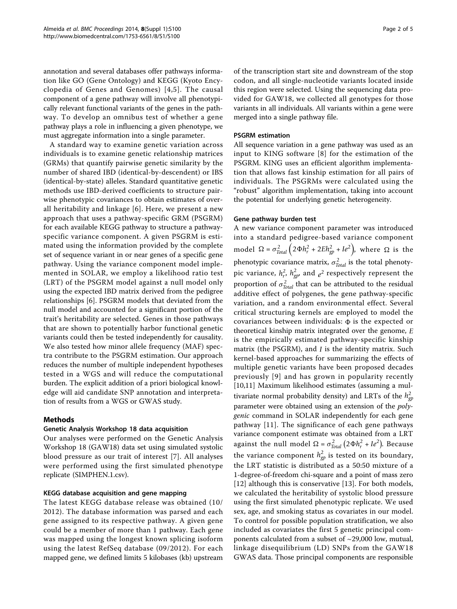annotation and several databases offer pathways information like GO (Gene Ontology) and KEGG (Kyoto Encyclopedia of Genes and Genomes) [[4](#page-4-0),[5\]](#page-4-0). The causal component of a gene pathway will involve all phenotypically relevant functional variants of the genes in the pathway. To develop an omnibus test of whether a gene pathway plays a role in influencing a given phenotype, we must aggregate information into a single parameter.

A standard way to examine genetic variation across individuals is to examine genetic relationship matrices (GRMs) that quantify pairwise genetic similarity by the number of shared IBD (identical-by-descendent) or IBS (identical-by-state) alleles. Standard quantitative genetic methods use IBD-derived coefficients to structure pairwise phenotypic covariances to obtain estimates of overall heritability and linkage [[6\]](#page-4-0). Here, we present a new approach that uses a pathway-specific GRM (PSGRM) for each available KEGG pathway to structure a pathwayspecific variance component. A given PSGRM is estimated using the information provided by the complete set of sequence variant in or near genes of a specific gene pathway. Using the variance component model implemented in SOLAR, we employ a likelihood ratio test (LRT) of the PSGRM model against a null model only using the expected IBD matrix derived from the pedigree relationships [[6\]](#page-4-0). PSGRM models that deviated from the null model and accounted for a significant portion of the trait's heritability are selected. Genes in those pathways that are shown to potentially harbor functional genetic variants could then be tested independently for causality. We also tested how minor allele frequency (MAF) spectra contribute to the PSGRM estimation. Our approach reduces the number of multiple independent hypotheses tested in a WGS and will reduce the computational burden. The explicit addition of a priori biological knowledge will aid candidate SNP annotation and interpretation of results from a WGS or GWAS study.

# Methods

# Genetic Analysis Workshop 18 data acquisition

Our analyses were performed on the Genetic Analysis Workshop 18 (GAW18) data set using simulated systolic blood pressure as our trait of interest [[7\]](#page-4-0). All analyses were performed using the first simulated phenotype replicate (SIMPHEN.1.csv).

# KEGG database acquisition and gene mapping

The latest KEGG database release was obtained (10/ 2012). The database information was parsed and each gene assigned to its respective pathway. A given gene could be a member of more than 1 pathway. Each gene was mapped using the longest known splicing isoform using the latest RefSeq database (09/2012). For each mapped gene, we defined limits 5 kilobases (kb) upstream

of the transcription start site and downstream of the stop codon, and all single-nucleotide variants located inside this region were selected. Using the sequencing data provided for GAW18, we collected all genotypes for those variants in all individuals. All variants within a gene were merged into a single pathway file.

#### PSGRM estimation

All sequence variation in a gene pathway was used as an input to KING software [[8\]](#page-4-0) for the estimation of the PSGRM. KING uses an efficient algorithm implementation that allows fast kinship estimation for all pairs of individuals. The PSGRMs were calculated using the "robust" algorithm implementation, taking into account the potential for underlying genetic heterogeneity.

#### Gene pathway burden test

A new variance component parameter was introduced into a standard pedigree-based variance component model Ω =  $\sigma_{Total}^2$  (2Φ*h<sub>r</sub>*</sub> + 2*Eh<sub>gp</sub>* + *Ie*<sup>2</sup>), where Ω is the phenotypic covariance matrix,  $\sigma_{Total}^2$  is the total phenotypic variance,  $h_r^2$ ,  $h_{gp}^2$ , and  $e^2$  respectively represent the proportion of  $\sigma_{\text{Total}}^2$  that can be attributed to the residual additive effect of polygenes, the gene pathway-specific variation, and a random environmental effect. Several critical structuring kernels are employed to model the covariances between individuals:  $\Phi$  is the expected or theoretical kinship matrix integrated over the genome, *E* is the empirically estimated pathway-specific kinship matrix (the PSGRM), and *I* is the identity matrix. Such kernel-based approaches for summarizing the effects of multiple genetic variants have been proposed decades previously [[9](#page-4-0)] and has grown in popularity recently [[10,11\]](#page-4-0) Maximum likelihood estimates (assuming a multivariate normal probability density) and LRTs of the  $h_{gp}^2$ parameter were obtained using an extension of the *poly*genic command in SOLAR independently for each gene pathway [[11](#page-4-0)]. The significance of each gene pathways variance component estimate was obtained from a LRT against the null model  $\Omega = \sigma_{Total}^2 (2 \Phi h_r^2 + I e^2)$ . Because the variance component  $h_{gp}^2$  is tested on its boundary, the LRT statistic is distributed as a 50:50 mixture of a 1-degree-of-freedom chi-square and a point of mass zero [[12](#page-4-0)] although this is conservative [[13](#page-4-0)]. For both models, we calculated the heritability of systolic blood pressure using the first simulated phenotypic replicate. We used sex, age, and smoking status as covariates in our model. To control for possible population stratification, we also included as covariates the first 5 genetic principal components calculated from a subset of ~29,000 low, mutual, linkage disequilibrium (LD) SNPs from the GAW18 GWAS data. Those principal components are responsible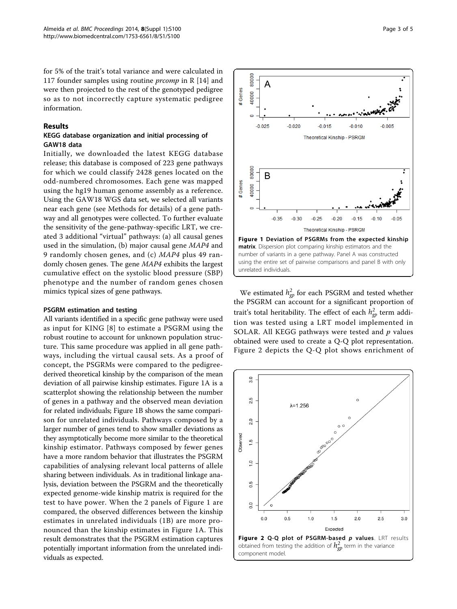for 5% of the trait's total variance and were calculated in 117 founder samples using routine *prcomp* in R  $[14]$  $[14]$  and were then projected to the rest of the genotyped pedigree so as to not incorrectly capture systematic pedigree information.

#### Results

# KEGG database organization and initial processing of GAW18 data

Initially, we downloaded the latest KEGG database release; this database is composed of 223 gene pathways for which we could classify 2428 genes located on the odd-numbered chromosomes. Each gene was mapped using the hg19 human genome assembly as a reference. Using the GAW18 WGS data set, we selected all variants near each gene (see Methods for details) of a gene pathway and all genotypes were collected. To further evaluate the sensitivity of the gene-pathway-specific LRT, we created 3 additional "virtual" pathways: (a) all causal genes used in the simulation, (b) major causal gene MAP4 and 9 randomly chosen genes, and (c) MAP4 plus 49 randomly chosen genes. The gene MAP4 exhibits the largest cumulative effect on the systolic blood pressure (SBP) phenotype and the number of random genes chosen mimics typical sizes of gene pathways.

#### PSGRM estimation and testing

All variants identified in a specific gene pathway were used as input for KING [[8\]](#page-4-0) to estimate a PSGRM using the robust routine to account for unknown population structure. This same procedure was applied in all gene pathways, including the virtual causal sets. As a proof of concept, the PSGRMs were compared to the pedigreederived theoretical kinship by the comparison of the mean deviation of all pairwise kinship estimates. Figure 1A is a scatterplot showing the relationship between the number of genes in a pathway and the observed mean deviation for related individuals; Figure 1B shows the same comparison for unrelated individuals. Pathways composed by a larger number of genes tend to show smaller deviations as they asymptotically become more similar to the theoretical kinship estimator. Pathways composed by fewer genes have a more random behavior that illustrates the PSGRM capabilities of analysing relevant local patterns of allele sharing between individuals. As in traditional linkage analysis, deviation between the PSGRM and the theoretically expected genome-wide kinship matrix is required for the test to have power. When the 2 panels of Figure 1 are compared, the observed differences between the kinship estimates in unrelated individuals (1B) are more pronounced than the kinship estimates in Figure 1A. This result demonstrates that the PSGRM estimation captures potentially important information from the unrelated individuals as expected.



We estimated  $h_{gp}^2$  for each PSGRM and tested whether the PSGRM can account for a significant proportion of trait's total heritability. The effect of each  $h_{gp}^2$  term addition was tested using a LRT model implemented in SOLAR. All KEGG pathways were tested and  $p$  values obtained were used to create a Q-Q plot representation. Figure 2 depicts the Q-Q plot shows enrichment of

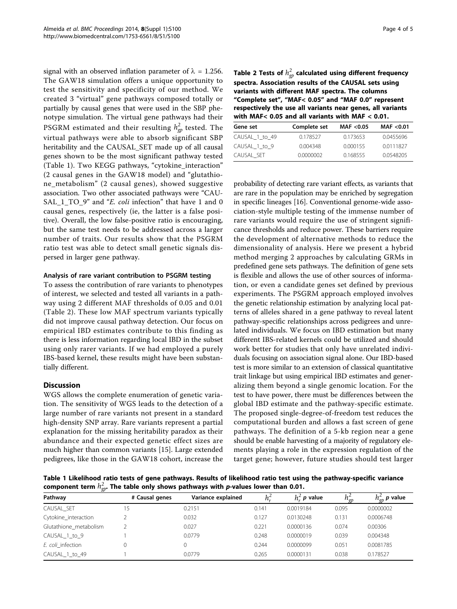signal with an observed inflation parameter of  $\lambda = 1.256$ . The GAW18 simulation offers a unique opportunity to test the sensitivity and specificity of our method. We created 3 "virtual" gene pathways composed totally or partially by causal genes that were used in the SBP phenotype simulation. The virtual gene pathways had their PSGRM estimated and their resulting  $h_{gp}^2$  tested. The virtual pathways were able to absorb significant SBP heritability and the CAUSAL\_SET made up of all causal genes shown to be the most significant pathway tested (Table 1). Two KEGG pathways, "cytokine\_interaction" (2 causal genes in the GAW18 model) and "glutathione\_metabolism" (2 causal genes), showed suggestive association. Two other associated pathways were "CAU-SAL\_1\_TO\_9" and "E. coli infection" that have 1 and 0 causal genes, respectively (ie, the latter is a false positive). Overall, the low false-positive ratio is encouraging, but the same test needs to be addressed across a larger number of traits. Our results show that the PSGRM ratio test was able to detect small genetic signals dispersed in larger gene pathway.

#### Analysis of rare variant contribution to PSGRM testing

To assess the contribution of rare variants to phenotypes of interest, we selected and tested all variants in a pathway using 2 different MAF thresholds of 0.05 and 0.01 (Table 2). These low MAF spectrum variants typically did not improve causal pathway detection. Our focus on empirical IBD estimates contribute to this finding as there is less information regarding local IBD in the subset using only rarer variants. If we had employed a purely IBS-based kernel, these results might have been substantially different.

# **Discussion**

WGS allows the complete enumeration of genetic variation. The sensitivity of WGS leads to the detection of a large number of rare variants not present in a standard high-density SNP array. Rare variants represent a partial explanation for the missing heritability paradox as their abundance and their expected genetic effect sizes are much higher than common variants [[15\]](#page-4-0). Large extended pedigrees, like those in the GAW18 cohort, increase the

Table 2 Tests of  $h_{gp}^2$  calculated using different frequency spectra. Association results of the CAUSAL sets using variants with different MAF spectra. The columns "Complete set", "MAF< 0.05" and "MAF 0.0" represent respectively the use all variants near genes, all variants with MAF< 0.05 and all variants with MAF < 0.01.

| Gene set       | Complete set | MAF < 0.05 | MAF < 0.01 |  |
|----------------|--------------|------------|------------|--|
| CAUSAL_1_to_49 | 0.178527     | 0.173653   | 0.0455696  |  |
| CAUSAL 1 to 9  | 0.004348     | 0.000155   | 0.0111827  |  |
| CAUSAL SET     | 0.0000002    | 0.168555   | 0.0548205  |  |

probability of detecting rare variant effects, as variants that are rare in the population may be enriched by segregation in specific lineages [\[16\]](#page-4-0). Conventional genome-wide association-style multiple testing of the immense number of rare variants would require the use of stringent significance thresholds and reduce power. These barriers require the development of alternative methods to reduce the dimensionality of analysis. Here we present a hybrid method merging 2 approaches by calculating GRMs in predefined gene sets pathways. The definition of gene sets is flexible and allows the use of other sources of information, or even a candidate genes set defined by previous experiments. The PSGRM approach employed involves the genetic relationship estimation by analyzing local patterns of alleles shared in a gene pathway to reveal latent pathway-specific relationships across pedigrees and unrelated individuals. We focus on IBD estimation but many different IBS-related kernels could be utilized and should work better for studies that only have unrelated individuals focusing on association signal alone. Our IBD-based test is more similar to an extension of classical quantitative trait linkage but using empirical IBD estimates and generalizing them beyond a single genomic location. For the test to have power, there must be differences between the global IBD estimate and the pathway-specific estimate. The proposed single-degree-of-freedom test reduces the computational burden and allows a fast screen of gene pathways. The definition of a 5-kb region near a gene should be enable harvesting of a majority of regulatory elements playing a role in the expression regulation of the target gene; however, future studies should test larger

Table 1 Likelihood ratio tests of gene pathways. Results of likelihood ratio test using the pathway-specific variance component term  $h_{gp}^2.$  The table only shows pathways with *p*-values lower than 0.01.

| Pathway                | # Causal genes | Variance explained |       | $h_{-}^{\scriptscriptstyle\angle}$ p value | $\mu_{q_0}$ | $n_{\sigma p}^-$ p value |
|------------------------|----------------|--------------------|-------|--------------------------------------------|-------------|--------------------------|
| CAUSAL SET             |                | 0.2151             | 0.141 | 0.0019184                                  | 0.095       | 0.0000002                |
| Cytokine_interaction   |                | 0.032              | 0.127 | 0.0130248                                  | 0.131       | 0.0006748                |
| Glutathione metabolism |                | 0.027              | 0.221 | 0.0000136                                  | 0.074       | 0.00306                  |
| CAUSAL 1 to 9          |                | 0.0779             | 0.248 | 0.0000019                                  | 0.039       | 0.004348                 |
| E. coli infection      |                |                    | 0.244 | 0.0000099                                  | 0.051       | 0.0081785                |
| CAUSAL 1 to 49         |                | 0.0779             | 0.265 | 0.0000131                                  | 0.038       | 0.178527                 |